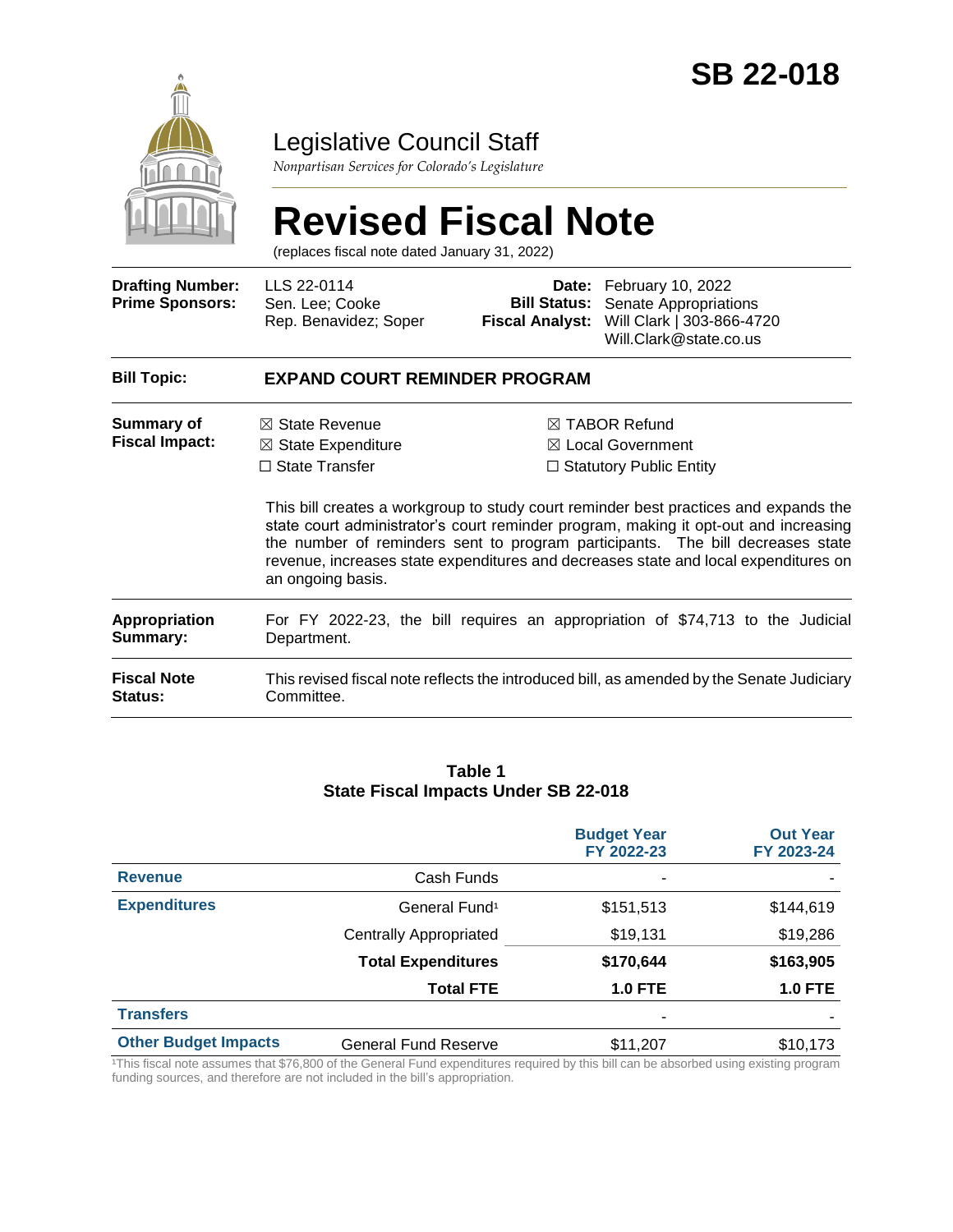

## Legislative Council Staff

*Nonpartisan Services for Colorado's Legislature*

# **Revised Fiscal Note**

(replaces fiscal note dated January 31, 2022)

| <b>Drafting Number:</b><br><b>Prime Sponsors:</b> | LLS 22-0114<br>Sen. Lee; Cooke<br>Rep. Benavidez; Soper                                                  | <b>Bill Status:</b><br><b>Fiscal Analyst:</b> | Date: February 10, 2022<br>Senate Appropriations<br>Will Clark   303-866-4720<br>Will.Clark@state.co.us                                                                                                                                                                                                                                                                                                                                             |  |  |  |
|---------------------------------------------------|----------------------------------------------------------------------------------------------------------|-----------------------------------------------|-----------------------------------------------------------------------------------------------------------------------------------------------------------------------------------------------------------------------------------------------------------------------------------------------------------------------------------------------------------------------------------------------------------------------------------------------------|--|--|--|
| <b>Bill Topic:</b>                                | <b>EXPAND COURT REMINDER PROGRAM</b>                                                                     |                                               |                                                                                                                                                                                                                                                                                                                                                                                                                                                     |  |  |  |
| Summary of<br><b>Fiscal Impact:</b>               | $\boxtimes$ State Revenue<br>$\boxtimes$ State Expenditure<br>$\Box$ State Transfer<br>an ongoing basis. |                                               | $\boxtimes$ TABOR Refund<br>$\boxtimes$ Local Government<br>$\Box$ Statutory Public Entity<br>This bill creates a workgroup to study court reminder best practices and expands the<br>state court administrator's court reminder program, making it opt-out and increasing<br>the number of reminders sent to program participants. The bill decreases state<br>revenue, increases state expenditures and decreases state and local expenditures on |  |  |  |
| <b>Appropriation</b><br>Summary:                  | Department.                                                                                              |                                               | For FY 2022-23, the bill requires an appropriation of \$74,713 to the Judicial                                                                                                                                                                                                                                                                                                                                                                      |  |  |  |
| <b>Fiscal Note</b><br><b>Status:</b>              | Committee.                                                                                               |                                               | This revised fiscal note reflects the introduced bill, as amended by the Senate Judiciary                                                                                                                                                                                                                                                                                                                                                           |  |  |  |

#### **Table 1 State Fiscal Impacts Under SB 22-018**

|                             |                             | <b>Budget Year</b><br>FY 2022-23 | <b>Out Year</b><br>FY 2023-24 |
|-----------------------------|-----------------------------|----------------------------------|-------------------------------|
| <b>Revenue</b>              | Cash Funds                  | ۰                                |                               |
| <b>Expenditures</b>         | General Fund <sup>1</sup>   | \$151,513                        | \$144,619                     |
|                             | Centrally Appropriated      | \$19,131                         | \$19,286                      |
|                             | <b>Total Expenditures</b>   | \$170,644                        | \$163,905                     |
|                             | <b>Total FTE</b>            | <b>1.0 FTE</b>                   | <b>1.0 FTE</b>                |
| <b>Transfers</b>            |                             | ٠                                |                               |
| <b>Other Budget Impacts</b> | <b>General Fund Reserve</b> | \$11,207                         | \$10,173                      |

This fiscal note assumes that \$76,800 of the General Fund expenditures required by this bill can be absorbed using existing program funding sources, and therefore are not included in the bill's appropriation.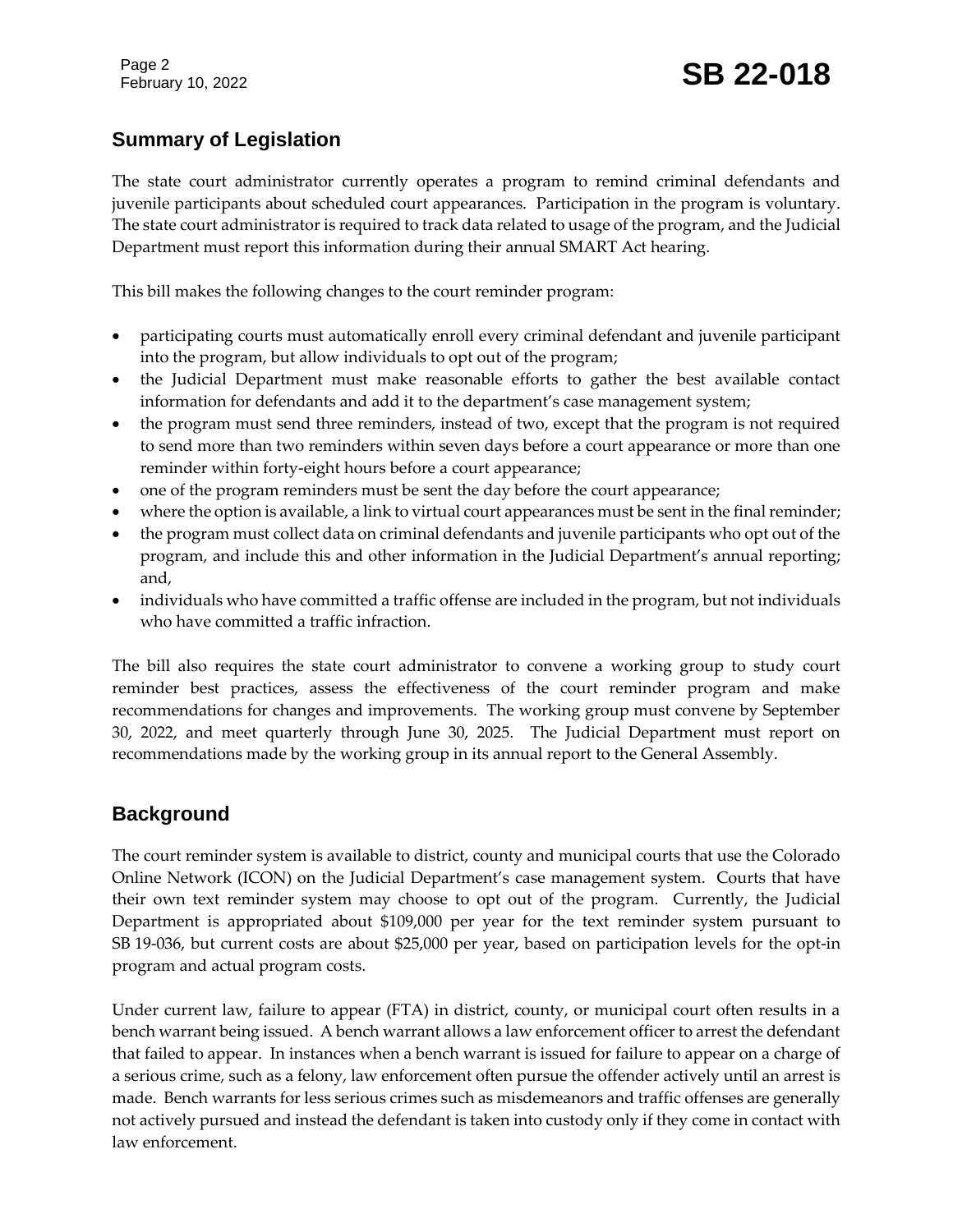## **Summary of Legislation**

The state court administrator currently operates a program to remind criminal defendants and juvenile participants about scheduled court appearances. Participation in the program is voluntary. The state court administrator is required to track data related to usage of the program, and the Judicial Department must report this information during their annual SMART Act hearing.

This bill makes the following changes to the court reminder program:

- participating courts must automatically enroll every criminal defendant and juvenile participant into the program, but allow individuals to opt out of the program;
- the Judicial Department must make reasonable efforts to gather the best available contact information for defendants and add it to the department's case management system;
- the program must send three reminders, instead of two, except that the program is not required to send more than two reminders within seven days before a court appearance or more than one reminder within forty-eight hours before a court appearance;
- one of the program reminders must be sent the day before the court appearance;
- where the option is available, a link to virtual court appearances must be sent in the final reminder;
- the program must collect data on criminal defendants and juvenile participants who opt out of the program, and include this and other information in the Judicial Department's annual reporting; and,
- individuals who have committed a traffic offense are included in the program, but not individuals who have committed a traffic infraction.

The bill also requires the state court administrator to convene a working group to study court reminder best practices, assess the effectiveness of the court reminder program and make recommendations for changes and improvements. The working group must convene by September 30, 2022, and meet quarterly through June 30, 2025. The Judicial Department must report on recommendations made by the working group in its annual report to the General Assembly.

## **Background**

The court reminder system is available to district, county and municipal courts that use the Colorado Online Network (ICON) on the Judicial Department's case management system. Courts that have their own text reminder system may choose to opt out of the program. Currently, the Judicial Department is appropriated about \$109,000 per year for the text reminder system pursuant to SB 19-036, but current costs are about \$25,000 per year, based on participation levels for the opt-in program and actual program costs.

Under current law, failure to appear (FTA) in district, county, or municipal court often results in a bench warrant being issued. A bench warrant allows a law enforcement officer to arrest the defendant that failed to appear. In instances when a bench warrant is issued for failure to appear on a charge of a serious crime, such as a felony, law enforcement often pursue the offender actively until an arrest is made. Bench warrants for less serious crimes such as misdemeanors and traffic offenses are generally not actively pursued and instead the defendant is taken into custody only if they come in contact with law enforcement.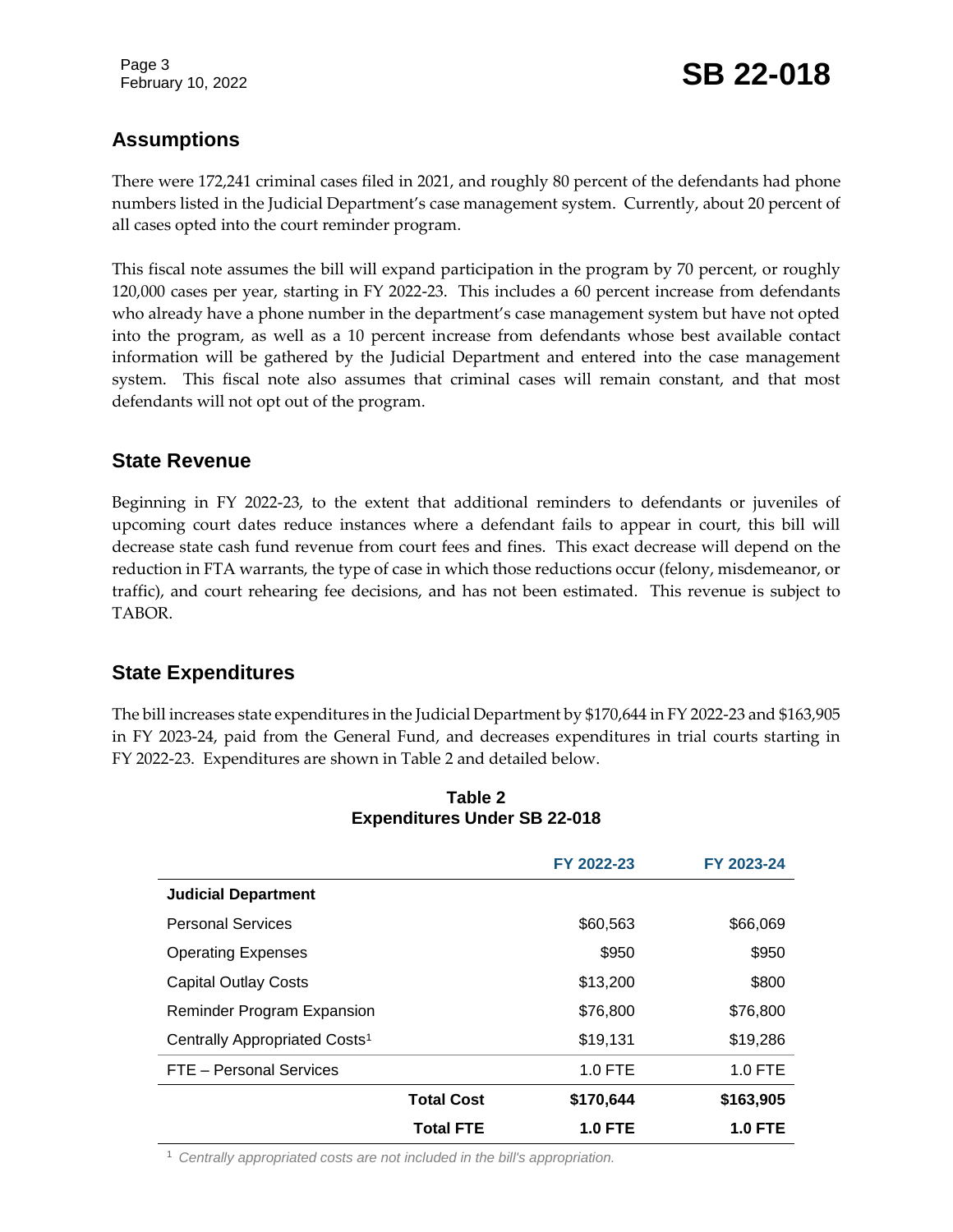Page 3

## **Assumptions**

There were 172,241 criminal cases filed in 2021, and roughly 80 percent of the defendants had phone numbers listed in the Judicial Department's case management system. Currently, about 20 percent of all cases opted into the court reminder program.

This fiscal note assumes the bill will expand participation in the program by 70 percent, or roughly 120,000 cases per year, starting in FY 2022-23. This includes a 60 percent increase from defendants who already have a phone number in the department's case management system but have not opted into the program, as well as a 10 percent increase from defendants whose best available contact information will be gathered by the Judicial Department and entered into the case management system. This fiscal note also assumes that criminal cases will remain constant, and that most defendants will not opt out of the program.

## **State Revenue**

Beginning in FY 2022-23, to the extent that additional reminders to defendants or juveniles of upcoming court dates reduce instances where a defendant fails to appear in court, this bill will decrease state cash fund revenue from court fees and fines. This exact decrease will depend on the reduction in FTA warrants, the type of case in which those reductions occur (felony, misdemeanor, or traffic), and court rehearing fee decisions, and has not been estimated. This revenue is subject to TABOR.

## **State Expenditures**

The bill increases state expenditures in the Judicial Department by \$170,644 in FY 2022-23 and \$163,905 in FY 2023-24, paid from the General Fund, and decreases expenditures in trial courts starting in FY 2022-23. Expenditures are shown in Table 2 and detailed below.

|                                           |                   | FY 2022-23     | FY 2023-24     |
|-------------------------------------------|-------------------|----------------|----------------|
| <b>Judicial Department</b>                |                   |                |                |
| <b>Personal Services</b>                  |                   | \$60,563       | \$66,069       |
| <b>Operating Expenses</b>                 |                   | \$950          | \$950          |
| <b>Capital Outlay Costs</b>               |                   | \$13,200       | \$800          |
| <b>Reminder Program Expansion</b>         |                   | \$76,800       | \$76,800       |
| Centrally Appropriated Costs <sup>1</sup> |                   | \$19,131       | \$19,286       |
| FTE - Personal Services                   |                   | $1.0$ FTE      | 1.0 FTE        |
|                                           | <b>Total Cost</b> | \$170,644      | \$163,905      |
|                                           | <b>Total FTE</b>  | <b>1.0 FTE</b> | <b>1.0 FTE</b> |

#### **Table 2 Expenditures Under SB 22-018**

<sup>1</sup> *Centrally appropriated costs are not included in the bill's appropriation.*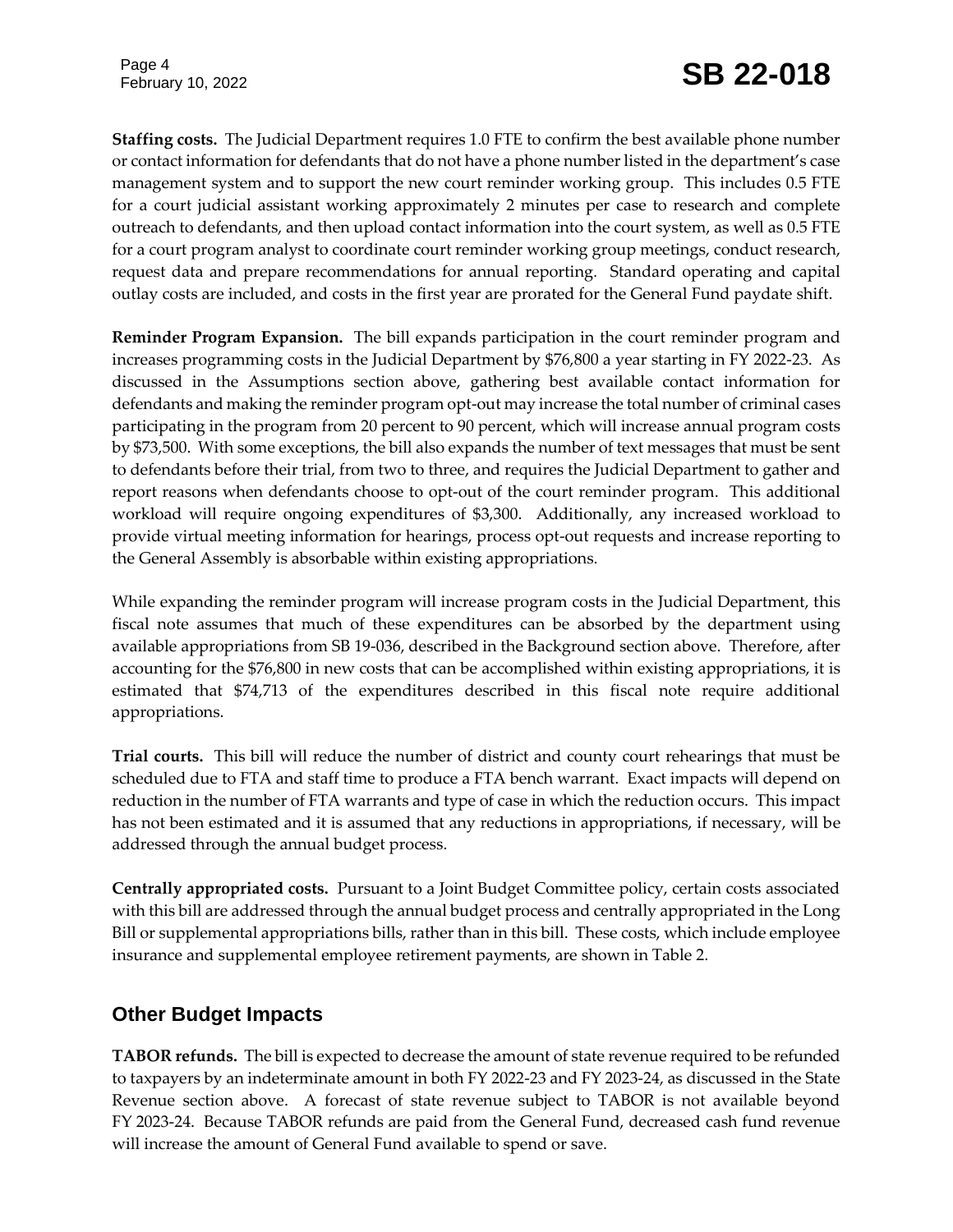Page 4

**Staffing costs.** The Judicial Department requires 1.0 FTE to confirm the best available phone number or contact information for defendants that do not have a phone number listed in the department's case management system and to support the new court reminder working group. This includes 0.5 FTE for a court judicial assistant working approximately 2 minutes per case to research and complete outreach to defendants, and then upload contact information into the court system, as well as 0.5 FTE for a court program analyst to coordinate court reminder working group meetings, conduct research, request data and prepare recommendations for annual reporting*.* Standard operating and capital outlay costs are included, and costs in the first year are prorated for the General Fund paydate shift.

**Reminder Program Expansion.** The bill expands participation in the court reminder program and increases programming costs in the Judicial Department by \$76,800 a year starting in FY 2022-23. As discussed in the Assumptions section above, gathering best available contact information for defendants and making the reminder program opt-out may increase the total number of criminal cases participating in the program from 20 percent to 90 percent, which will increase annual program costs by \$73,500. With some exceptions, the bill also expands the number of text messages that must be sent to defendants before their trial, from two to three, and requires the Judicial Department to gather and report reasons when defendants choose to opt-out of the court reminder program. This additional workload will require ongoing expenditures of \$3,300. Additionally, any increased workload to provide virtual meeting information for hearings, process opt-out requests and increase reporting to the General Assembly is absorbable within existing appropriations.

While expanding the reminder program will increase program costs in the Judicial Department, this fiscal note assumes that much of these expenditures can be absorbed by the department using available appropriations from SB 19-036, described in the Background section above. Therefore, after accounting for the \$76,800 in new costs that can be accomplished within existing appropriations, it is estimated that \$74,713 of the expenditures described in this fiscal note require additional appropriations.

**Trial courts.** This bill will reduce the number of district and county court rehearings that must be scheduled due to FTA and staff time to produce a FTA bench warrant. Exact impacts will depend on reduction in the number of FTA warrants and type of case in which the reduction occurs. This impact has not been estimated and it is assumed that any reductions in appropriations, if necessary, will be addressed through the annual budget process.

**Centrally appropriated costs.** Pursuant to a Joint Budget Committee policy, certain costs associated with this bill are addressed through the annual budget process and centrally appropriated in the Long Bill or supplemental appropriations bills, rather than in this bill. These costs, which include employee insurance and supplemental employee retirement payments, are shown in Table 2.

## **Other Budget Impacts**

**TABOR refunds.** The bill is expected to decrease the amount of state revenue required to be refunded to taxpayers by an indeterminate amount in both FY 2022-23 and FY 2023-24, as discussed in the State Revenue section above. A forecast of state revenue subject to TABOR is not available beyond FY 2023-24. Because TABOR refunds are paid from the General Fund, decreased cash fund revenue will increase the amount of General Fund available to spend or save.